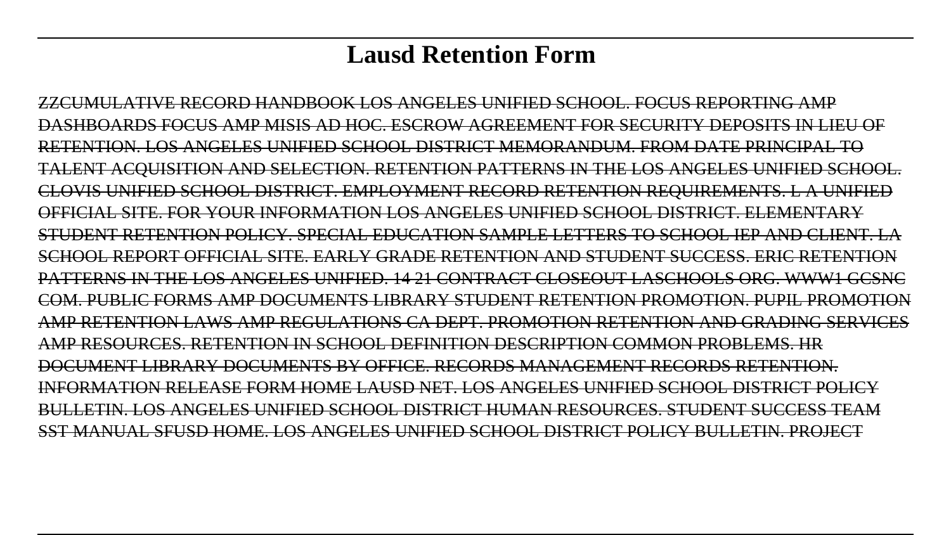# **Lausd Retention Form**

ZZCUMULATIVE RECORD HANDBOOK LOS ANGELES UNIFIED SCHOOL. FOCUS REPORTING AMP DASHBOARDS FOCUS AMP MISIS AD HOC. ESCROW AGREEMENT FOR SECURITY DEPOSITS IN LIEU OF RETENTION. LOS ANGELES UNIFIED SCHOOL DISTRICT MEMORANDUM. FROM DATE PRINCIPAL TO TALENT ACQUISITION AND SELECTION. RETENTION PATTERNS IN THE LOS ANGELES UNIFIED SCHOOL. CLOVIS UNIFIED SCHOOL DISTRICT. EMPLOYMENT RECORD RETENTION REQUIREMENTS. L A UNIFIED OFFICIAL SITE. FOR YOUR INFORMATION LOS ANGELES UNIFIED SCHOOL DISTRICT. ELEMENTARY STUDENT RETENTION POLICY. SPECIAL EDUCATION SAMPLE LETTERS TO SCHOOL IEP AND CLIENT. LA SCHOOL REPORT OFFICIAL SITE. EARLY GRADE RETENTION AND STUDENT SUCCESS. ERIC RETENTION PATTERNS IN THE LOS ANGELES UNIFIED. 14 21 CONTRACT CLOSEOUT LASCHOOLS ORG. WWW1 GCSNC COM. PUBLIC FORMS AMP DOCUMENTS LIBRARY STUDENT RETENTION PROMOTION. PUPIL PROMOTION AMP RETENTION LAWS AMP REGULATIONS CA DEPT. PROMOTION RETENTION AND GRADING SERVICES AMP RESOURCES. RETENTION IN SCHOOL DEFINITION DESCRIPTION COMMON PROBLEMS. HR DOCUMENT LIBRARY DOCUMENTS BY OFFICE. RECORDS MANAGEMENT RECORDS RETENTION. INFORMATION RELEASE FORM HOME LAUSD NET. LOS ANGELES UNIFIED SCHOOL DISTRICT POLICY BULLETIN. LOS ANGELES UNIFIED SCHOOL DISTRICT HUMAN RESOURCES. STUDENT SUCCESS TEAM SST MANUAL SFUSD HOME. LOS ANGELES UNIFIED SCHOOL DISTRICT POLICY BULLETIN. PROJECT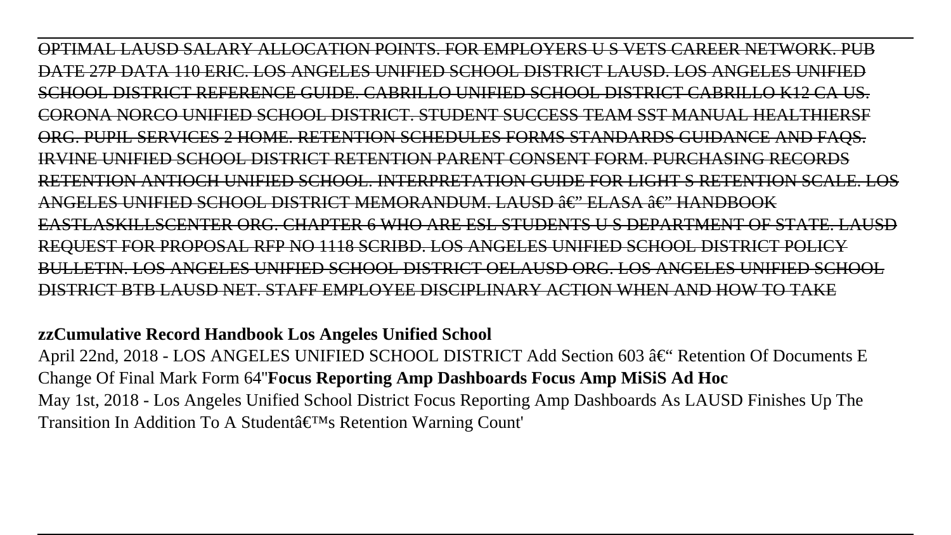OPTIMAL LAUSD SALARY ALLOCATION POINTS. FOR EMPLOYERS U S VETS CAREER NETWORK. PUB DATE 27P DATA 110 ERIC. LOS ANGELES UNIFIED SCHOOL DISTRICT LAUSD. LOS ANGELES UNIFIED SCHOOL DISTRICT REFERENCE GUIDE. CABRILLO UNIFIED SCHOOL CORONA NORCO UNIFIED SCHOOL DISTRICT. STUDENT SUCCESS TEAM SST MANUAL HEALTHIERSF ORG. PUPIL SERVICES 2 HOME. RETENTION SCHEDULES FORMS STANDARDS GUIDANCE AND FAQS. IRVINE UNIFIED SCHOOL DISTRICT RETENTION PARENT CONSENT FORM. PURCHASING RECORDS RETENTION ANTIOCH UNIFIED SCHOOL. INTERPRETATION GUIDE FOR LIGHT S RETENTION SCALE. LOS ANGELES UNIFIED SCHOOL DISTRICT MEMORANDUM. LAUSD ∂€" ELASA ô€" HANDBOOK EASTLASKILLSCENTER ORG. CHAPTER 6 WHO ARE ESL STUDENTS U S DEPARTMENT OF STATE. LAUSD REQUEST FOR PROPOSAL RFP NO 1118 SCRIBD. LOS ANGELES UNIFIED SCHOOL DISTRICT POLICY BULLETIN. LOS ANGELES UNIFIED SCHOOL DISTRICT OELAUSD ORG. LOS ANGELES UNIFIED SCHOOL STRICT BTB LAUSD NET. STAFF EMPLOYEE DISCIPLINARY ACTION WHEN AND HOW

**zzCumulative Record Handbook Los Angeles Unified School**

April 22nd, 2018 - LOS ANGELES UNIFIED SCHOOL DISTRICT Add Section 603 â€" Retention Of Documents E Change Of Final Mark Form 64''**Focus Reporting Amp Dashboards Focus Amp MiSiS Ad Hoc** May 1st, 2018 - Los Angeles Unified School District Focus Reporting Amp Dashboards As LAUSD Finishes Up The Transition In Addition To A Student's Retention Warning Count'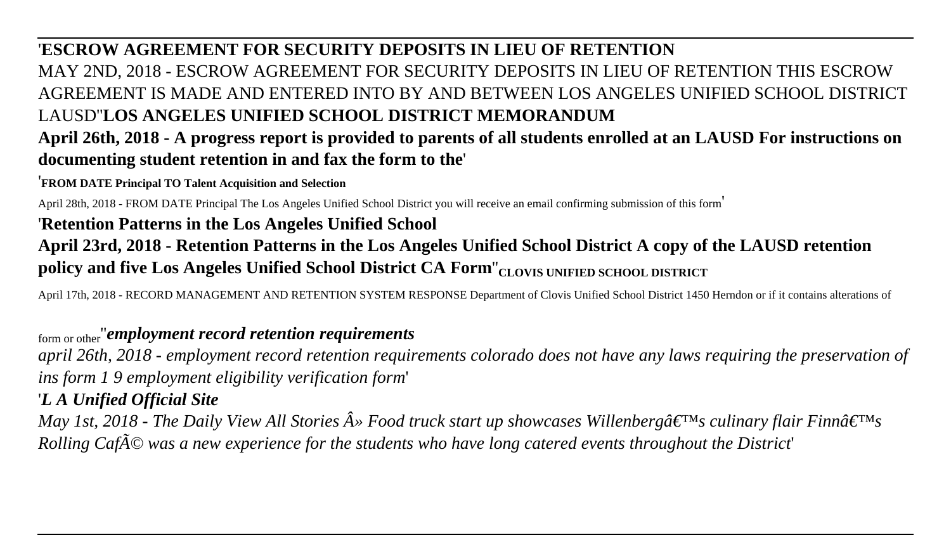# '**ESCROW AGREEMENT FOR SECURITY DEPOSITS IN LIEU OF RETENTION**

MAY 2ND, 2018 - ESCROW AGREEMENT FOR SECURITY DEPOSITS IN LIEU OF RETENTION THIS ESCROW AGREEMENT IS MADE AND ENTERED INTO BY AND BETWEEN LOS ANGELES UNIFIED SCHOOL DISTRICT LAUSD''**LOS ANGELES UNIFIED SCHOOL DISTRICT MEMORANDUM**

# **April 26th, 2018 - A progress report is provided to parents of all students enrolled at an LAUSD For instructions on documenting student retention in and fax the form to the**'

#### '**FROM DATE Principal TO Talent Acquisition and Selection**

April 28th, 2018 - FROM DATE Principal The Los Angeles Unified School District you will receive an email confirming submission of this form'

## '**Retention Patterns in the Los Angeles Unified School**

# **April 23rd, 2018 - Retention Patterns in the Los Angeles Unified School District A copy of the LAUSD retention policy and five Los Angeles Unified School District CA Form**''**CLOVIS UNIFIED SCHOOL DISTRICT**

April 17th, 2018 - RECORD MANAGEMENT AND RETENTION SYSTEM RESPONSE Department of Clovis Unified School District 1450 Herndon or if it contains alterations of

## form or other''*employment record retention requirements*

*april 26th, 2018 - employment record retention requirements colorado does not have any laws requiring the preservation of ins form 1 9 employment eligibility verification form*'

## '*L A Unified Official Site*

*May 1st, 2018 - The Daily View All Stories*  $\hat{A}$ *» Food truck start up showcases Willenberg* $\hat{a} \in I^M$ *s culinary flair Finn* $\hat{a} \in I^M$ *s Rolling Café was a new experience for the students who have long catered events throughout the District*'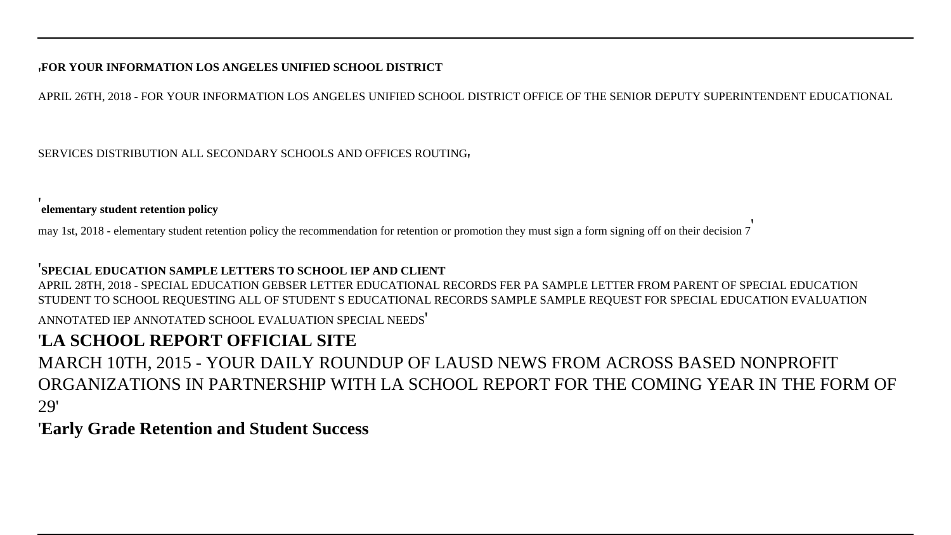#### '**FOR YOUR INFORMATION LOS ANGELES UNIFIED SCHOOL DISTRICT**

APRIL 26TH, 2018 - FOR YOUR INFORMATION LOS ANGELES UNIFIED SCHOOL DISTRICT OFFICE OF THE SENIOR DEPUTY SUPERINTENDENT EDUCATIONAL

SERVICES DISTRIBUTION ALL SECONDARY SCHOOLS AND OFFICES ROUTING'

'**elementary student retention policy**

may 1st, 2018 - elementary student retention policy the recommendation for retention or promotion they must sign a form signing off on their decision 7'

#### '**SPECIAL EDUCATION SAMPLE LETTERS TO SCHOOL IEP AND CLIENT**

APRIL 28TH, 2018 - SPECIAL EDUCATION GEBSER LETTER EDUCATIONAL RECORDS FER PA SAMPLE LETTER FROM PARENT OF SPECIAL EDUCATION STUDENT TO SCHOOL REQUESTING ALL OF STUDENT S EDUCATIONAL RECORDS SAMPLE SAMPLE REQUEST FOR SPECIAL EDUCATION EVALUATION ANNOTATED IEP ANNOTATED SCHOOL EVALUATION SPECIAL NEEDS'

## '**LA SCHOOL REPORT OFFICIAL SITE**

MARCH 10TH, 2015 - YOUR DAILY ROUNDUP OF LAUSD NEWS FROM ACROSS BASED NONPROFIT ORGANIZATIONS IN PARTNERSHIP WITH LA SCHOOL REPORT FOR THE COMING YEAR IN THE FORM OF 29'

#### '**Early Grade Retention and Student Success**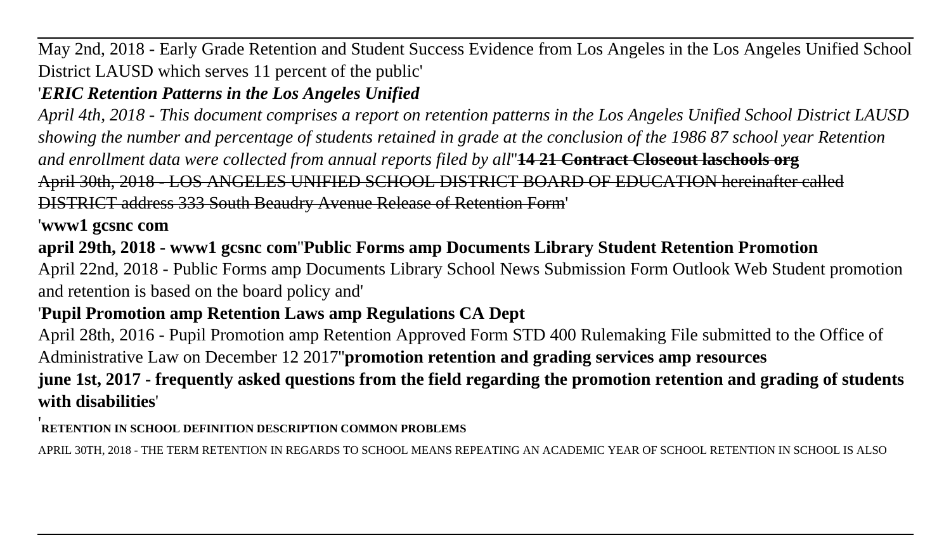May 2nd, 2018 - Early Grade Retention and Student Success Evidence from Los Angeles in the Los Angeles Unified School District LAUSD which serves 11 percent of the public'

# '*ERIC Retention Patterns in the Los Angeles Unified*

*April 4th, 2018 - This document comprises a report on retention patterns in the Los Angeles Unified School District LAUSD showing the number and percentage of students retained in grade at the conclusion of the 1986 87 school year Retention and enrollment data were collected from annual reports filed by all*''**14 21 Contract Closeout laschools org** April 30th, 2018 - LOS ANGELES UNIFIED SCHOOL DISTRICT BOARD OF EDUCATION hereinafter called DISTRICT address 333 South Beaudry Avenue Release of Retention Form'

'**www1 gcsnc com**

**april 29th, 2018 - www1 gcsnc com**''**Public Forms amp Documents Library Student Retention Promotion**

April 22nd, 2018 - Public Forms amp Documents Library School News Submission Form Outlook Web Student promotion and retention is based on the board policy and'

# '**Pupil Promotion amp Retention Laws amp Regulations CA Dept**

April 28th, 2016 - Pupil Promotion amp Retention Approved Form STD 400 Rulemaking File submitted to the Office of Administrative Law on December 12 2017''**promotion retention and grading services amp resources june 1st, 2017 - frequently asked questions from the field regarding the promotion retention and grading of students with disabilities**'

#### '**RETENTION IN SCHOOL DEFINITION DESCRIPTION COMMON PROBLEMS**

APRIL 30TH, 2018 - THE TERM RETENTION IN REGARDS TO SCHOOL MEANS REPEATING AN ACADEMIC YEAR OF SCHOOL RETENTION IN SCHOOL IS ALSO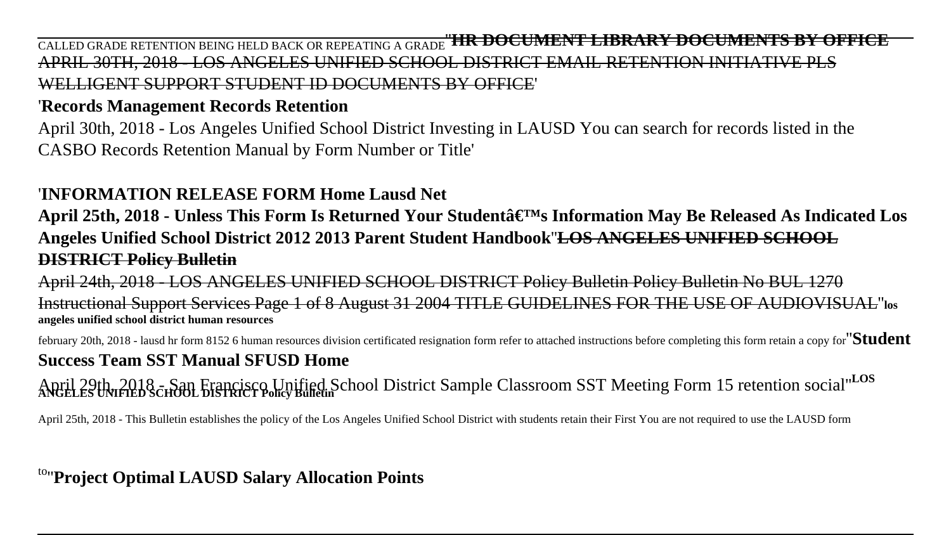CALLED GRADE RETENTION BEING HELD BACK OR REPEATING A GRADE''**HR DOCUMENT LIBRARY DOCUMENTS BY OFFICE** APRIL 30TH, 2018 - LOS ANGELES UNIFIED SCHOOL DISTRICT EMAIL RETENTION INITIATIVE PLS WELLIGENT SUPPORT STUDENT ID DOCUMENTS BY OFFICE'

#### '**Records Management Records Retention**

April 30th, 2018 - Los Angeles Unified School District Investing in LAUSD You can search for records listed in the CASBO Records Retention Manual by Form Number or Title'

## '**INFORMATION RELEASE FORM Home Lausd Net**

**April 25th, 2018 - Unless This Form Is Returned Your Student's Information May Be Released As Indicated Los Angeles Unified School District 2012 2013 Parent Student Handbook**''**LOS ANGELES UNIFIED SCHOOL DISTRICT Policy Bulletin**

April 24th, 2018 - LOS ANGELES UNIFIED SCHOOL DISTRICT Policy Bulletin Policy Bulletin No BUL 1270 Instructional Support Services Page 1 of 8 August 31 2004 TITLE GUIDELINES FOR THE USE OF AUDIOVISUAL''**los angeles unified school district human resources**

february 20th, 2018 - lausd hr form 8152 6 human resources division certificated resignation form refer to attached instructions before completing this form retain a copy for''**Student**

# **Success Team SST Manual SFUSD Home**

April 29th, 2018 ch<sup>3</sup>01 Francisco Unified School District Sample Classroom SST Meeting Form 15 retention social"<sup>LOS</sup>

April 25th, 2018 - This Bulletin establishes the policy of the Los Angeles Unified School District with students retain their First You are not required to use the LAUSD form

to''**Project Optimal LAUSD Salary Allocation Points**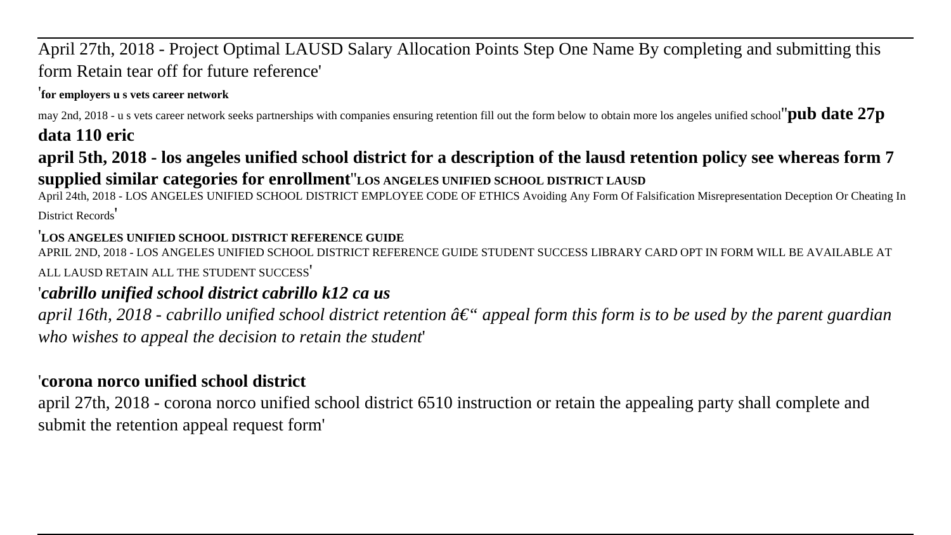# April 27th, 2018 - Project Optimal LAUSD Salary Allocation Points Step One Name By completing and submitting this form Retain tear off for future reference'

#### '**for employers u s vets career network**

may 2nd, 2018 - u s vets career network seeks partnerships with companies ensuring retention fill out the form below to obtain more los angeles unified school''**pub date 27p**

# **data 110 eric**

**april 5th, 2018 - los angeles unified school district for a description of the lausd retention policy see whereas form 7**

# **supplied similar categories for enrollment**''**LOS ANGELES UNIFIED SCHOOL DISTRICT LAUSD**

April 24th, 2018 - LOS ANGELES UNIFIED SCHOOL DISTRICT EMPLOYEE CODE OF ETHICS Avoiding Any Form Of Falsification Misrepresentation Deception Or Cheating In District Records'

#### '**LOS ANGELES UNIFIED SCHOOL DISTRICT REFERENCE GUIDE**

APRIL 2ND, 2018 - LOS ANGELES UNIFIED SCHOOL DISTRICT REFERENCE GUIDE STUDENT SUCCESS LIBRARY CARD OPT IN FORM WILL BE AVAILABLE AT ALL LAUSD RETAIN ALL THE STUDENT SUCCESS'

# '*cabrillo unified school district cabrillo k12 ca us*

*april 16th, 2018 - cabrillo unified school district retention â€ appeal form this form is to be used by the parent guardian who wishes to appeal the decision to retain the student*'

# '**corona norco unified school district**

april 27th, 2018 - corona norco unified school district 6510 instruction or retain the appealing party shall complete and submit the retention appeal request form'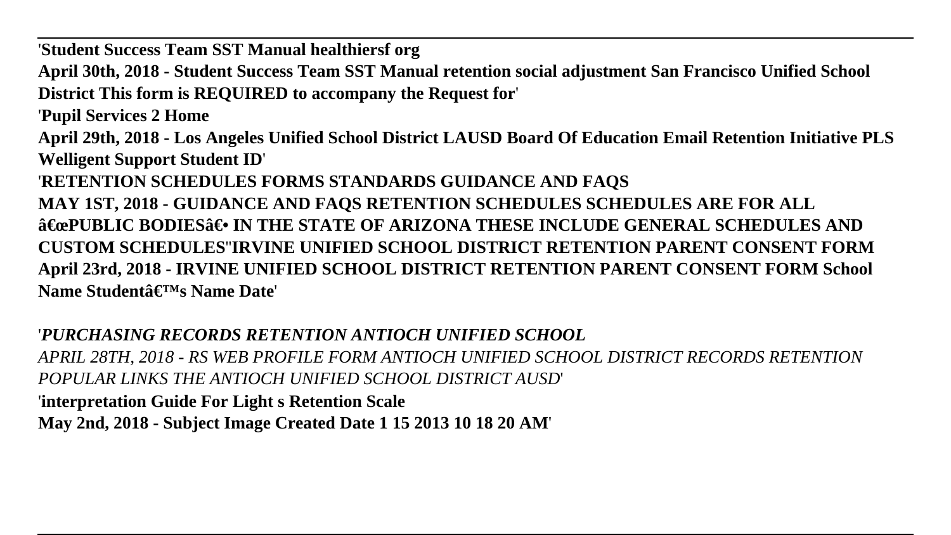'**Student Success Team SST Manual healthiersf org April 30th, 2018 - Student Success Team SST Manual retention social adjustment San Francisco Unified School District This form is REQUIRED to accompany the Request for**' '**Pupil Services 2 Home April 29th, 2018 - Los Angeles Unified School District LAUSD Board Of Education Email Retention Initiative PLS Welligent Support Student ID**' '**RETENTION SCHEDULES FORMS STANDARDS GUIDANCE AND FAQS MAY 1ST, 2018 - GUIDANCE AND FAQS RETENTION SCHEDULES SCHEDULES ARE FOR ALL A€œPUBLIC BODIESA€• IN THE STATE OF ARIZONA THESE INCLUDE GENERAL SCHEDULES AND CUSTOM SCHEDULES**''**IRVINE UNIFIED SCHOOL DISTRICT RETENTION PARENT CONSENT FORM April 23rd, 2018 - IRVINE UNIFIED SCHOOL DISTRICT RETENTION PARENT CONSENT FORM School** Name Studentâ€<sup>TM</sup>s Name Date

### '*PURCHASING RECORDS RETENTION ANTIOCH UNIFIED SCHOOL*

*APRIL 28TH, 2018 - RS WEB PROFILE FORM ANTIOCH UNIFIED SCHOOL DISTRICT RECORDS RETENTION POPULAR LINKS THE ANTIOCH UNIFIED SCHOOL DISTRICT AUSD*' '**interpretation Guide For Light s Retention Scale May 2nd, 2018 - Subject Image Created Date 1 15 2013 10 18 20 AM**'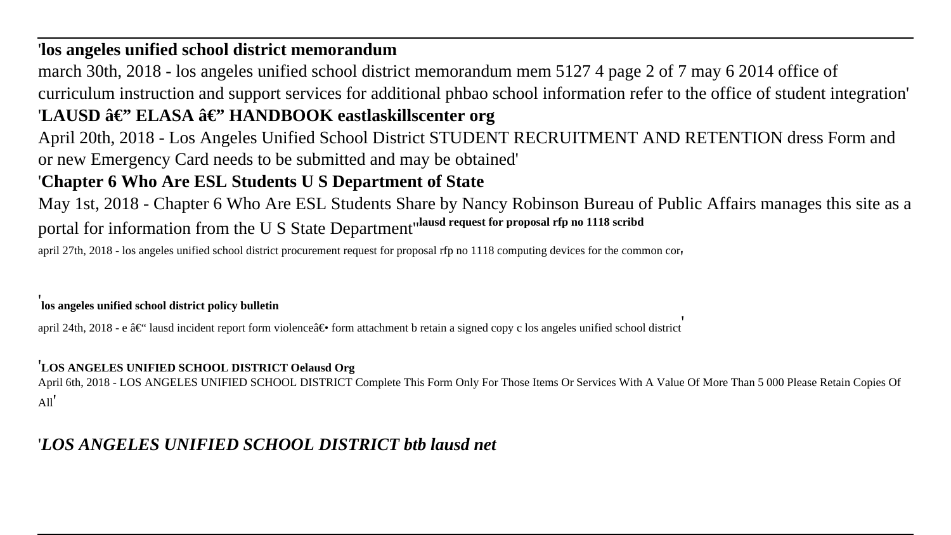#### '**los angeles unified school district memorandum**

march 30th, 2018 - los angeles unified school district memorandum mem 5127 4 page 2 of 7 may 6 2014 office of curriculum instruction and support services for additional phbao school information refer to the office of student integration' 'LAUSD â€'' ELASA â€'' HANDBOOK eastlaskillscenter org April 20th, 2018 - Los Angeles Unified School District STUDENT RECRUITMENT AND RETENTION dress Form and or new Emergency Card needs to be submitted and may be obtained'

#### '**Chapter 6 Who Are ESL Students U S Department of State**

May 1st, 2018 - Chapter 6 Who Are ESL Students Share by Nancy Robinson Bureau of Public Affairs manages this site as a portal for information from the U S State Department''**lausd request for proposal rfp no 1118 scribd**

april 27th, 2018 - los angeles unified school district procurement request for proposal rfp no 1118 computing devices for the common cor'

#### '**los angeles unified school district policy bulletin**

april 24th, 2018 - e â $\epsilon^*$  lausd incident report form violence  $\hat{\epsilon}$  form attachment b retain a signed copy c los angeles unified school district

#### '**LOS ANGELES UNIFIED SCHOOL DISTRICT Oelausd Org**

April 6th, 2018 - LOS ANGELES UNIFIED SCHOOL DISTRICT Complete This Form Only For Those Items Or Services With A Value Of More Than 5 000 Please Retain Copies Of All'

### '*LOS ANGELES UNIFIED SCHOOL DISTRICT btb lausd net*